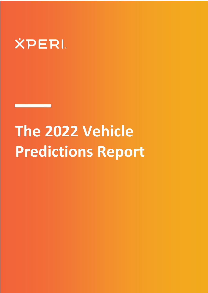

# **The 2022 Vehicle Predictions Report**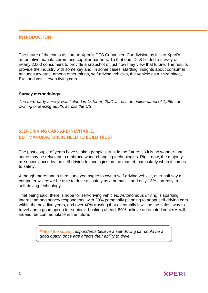## **INTRODUCTION**

The future of the car is as core to Xperi's DTS Connected Car division as it is to Xperi's automotive manufacturers and supplier partners. To that end, DTS fielded a survey of nearly 2,000 consumers to provide a snapshot of just how they view that future. The results provide the industry with some key and, in some cases, startling, insights about consumer attitudes towards, among other things, self-driving vehicles, the vehicle as a 'third place, EVs and yes… even flying cars.

## **Survey methodology**

*The third-party survey was fielded in October, 2021 across an online panel of 1,969 car owning or leasing adults across the US.*

# **SELF-DRIVING CARS ARE INEVITABLE, BUT MANUFACTURERS NEED TO BUILD TRUST**

The past couple of years have shaken people's trust in the future, so it is no wonder that some may be reluctant to embrace world-changing technologies. Right now, the majority are unconvinced by the self-driving technologies on the market, particularly when it comes to safety.

Although more than a third surveyed aspire to own a self-driving vehicle, over half say a computer will *never* be able to drive as safely as a human -- and only 13% currently trust self-driving technology.

That being said, there is hope for self-driving vehicles. Autonomous driving is sparking interest among survey respondents, with 30% personally planning to adopt self-driving cars within the next five years, and over 40% trusting that eventually it will be the safest way to travel and a good option for seniors. Looking ahead, 80% believe automated vehicles will, indeed, be commonplace in the future.

> *Half of the survey respondents believe a self-driving car could be a good option once age affects their ability to drive*

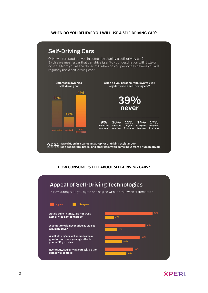## **WHEN DO YOU BELIEVE YOU WILL USE A SELF-DRIVING CAR?**

#### **Self-Driving Cars** Q: How interested are you in some day owning a self-driving car? By this we mean a car that can drive itself to your destination with little or no input from you as the driver. Q2: When do you personally believe you will regularly use a self-driving car? Interest in owning a When do you personally believe you will self-driving car regularly use a self-driving car? 44% 38% 39% never 19% 9% 10% 11% 14% 17% within the  $1-3$  years  $3-5$  years  $5-10$  years  $10+$  years from now from now from now from now next year not<br>interested  $26\%$  have ridden in a car using autopilot or driving assist mode<br> $26\%$  (can accelerate, brake, and steer itself with some input from a human driver)

## **HOW CONSUMERS FEEL ABOUT SELF-DRIVING CARS?**



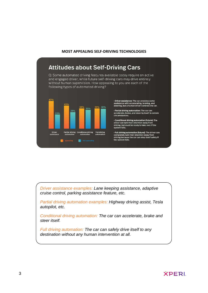### **MOST APPEALING SELF-DRIVING TECHNOLOGIES**

# **Attitudes about Self-Driving Cars**

Q: Some automated driving features available today require an active and engaged driver, while future self-driving cars may drive entirely without human supervision. How appealing to you are each of the following types of automated driving?



· Driver assistance: The car provides some assistance with accelerating, braking, and<br>steering, but a human driver controls the car.

• Partial driving automation: The car can<br>accelerate, brake, and steer by itself in certain<br>circumstances.

· Conditional driving automation (future): The • Conditional driving automation (future): The<br>driver can turn their attention away from<br>driving, but must be ready to take over if the<br>system fails.

· Full driving automation (future): The driver can<br>completely turn their attention away from<br>driving because the car can stop itself safely if<br>the system fails.

*Driver assistance examples: Lane keeping assistance, adaptive cruise control, parking assistance feature, etc.*

*Partial driving automation examples: Highway driving assist, Tesla autopilot, etc.*

*Conditional driving automation: The car can accelerate, brake and steer itself.*

*Full driving automation: The car can safely drive itself to any destination without any human intervention at all.*

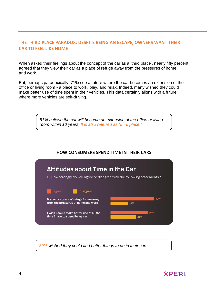# **THE THIRD PLACE PARADOX: DESPITE BEING AN ESCAPE, OWNERS WANT THEIR CAR TO FEEL LIKE HOME**

When asked their feelings about the concept of the car as a 'third place', nearly fifty percent agreed that they view their car as a place of refuge away from the pressures of home and work.

But, perhaps paradoxically, 71% see a future where the car becomes an extension of their office or living room - a place to work, play, and relax. Indeed, many wished they could make better use of time spent in their vehicles. This data certainly aligns with a future where more vehicles are self-driving.

> *51% believe the car will become an extension of the office or living room within 10 years. It is also referred as "third place."*

# **HOW CONSUMERS SPEND TIME IN THEIR CARS**



*39% wished they could find better things to do in their cars.*

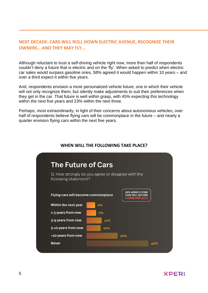# **NEXT DECADE: CARS WILL ROLL DOWN ELECTRIC AVENUE, RECOGNIZE THEIR OWNERS… AND THEY MAY FLY...**

Although reluctant to trust a self-driving vehicle right now, more than half of respondents couldn't deny a future that is electric and on the 'fly'. When asked to predict when electric car sales would surpass gasoline ones, 58% agreed it would happen within 10 years – and over a third expect it within five years.

And, respondents envision a more personalized vehicle future, one in which their vehicle will not only recognize them, but silently make adjustments to suit their preferences when they get in the car. That future is well within grasp, with 45% expecting this technology within the next five years and 23% within the next three.

Perhaps, most extraordinarily, in light of their concerns about autonomous vehicles, over half of respondents believe flying cars will be commonplace in the future – and nearly a quarter envision flying cars within the next five years.



## **WHEN WILL THE FOLLOWING TAKE PLACE?**

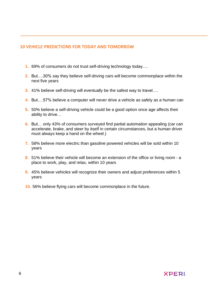## **10 VEHICLE PREDICTIONS FOR TODAY AND TOMORROW**

- **1.** 69% of consumers do not trust self-driving technology today….
- **2.** But….30% say they believe self-driving cars will become commonplace within the next five years
- **3.** 41% believe self-driving will eventually be the safest way to travel….
- **4.** But….57% believe a computer will never drive a vehicle as safely as a human can
- **5.** 50% believe a self-driving vehicle could be a good option once age affects their ability to drive…
- **6.** But… only 43% of consumers surveyed find partial automation appealing (car can accelerate, brake, and steer by itself in certain circumstances, but a human driver must always keep a hand on the wheel.)
- **7.** 58% believe more electric than gasoline powered vehicles will be sold within 10 years
- **8.** 51% believe their vehicle will become an extension of the office or living room a place to work, play, and relax, within 10 years
- **9.** 45% believe vehicles will recognize their owners and adjust preferences within 5 years
- **10.** 56% believe flying cars will become commonplace in the future.